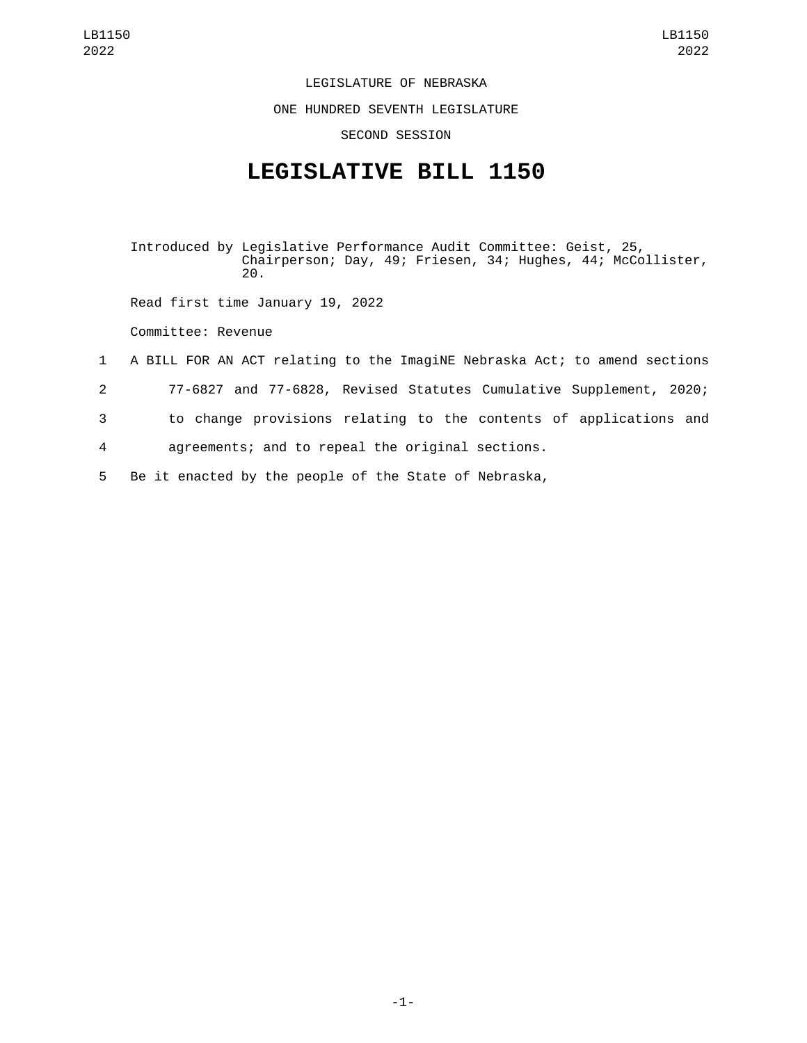LEGISLATURE OF NEBRASKA

ONE HUNDRED SEVENTH LEGISLATURE

SECOND SESSION

## **LEGISLATIVE BILL 1150**

Introduced by Legislative Performance Audit Committee: Geist, 25, Chairperson; Day, 49; Friesen, 34; Hughes, 44; McCollister, 20.

Read first time January 19, 2022

Committee: Revenue

- 1 A BILL FOR AN ACT relating to the ImagiNE Nebraska Act; to amend sections
- 2 77-6827 and 77-6828, Revised Statutes Cumulative Supplement, 2020;
- 3 to change provisions relating to the contents of applications and

4 agreements; and to repeal the original sections.

5 Be it enacted by the people of the State of Nebraska,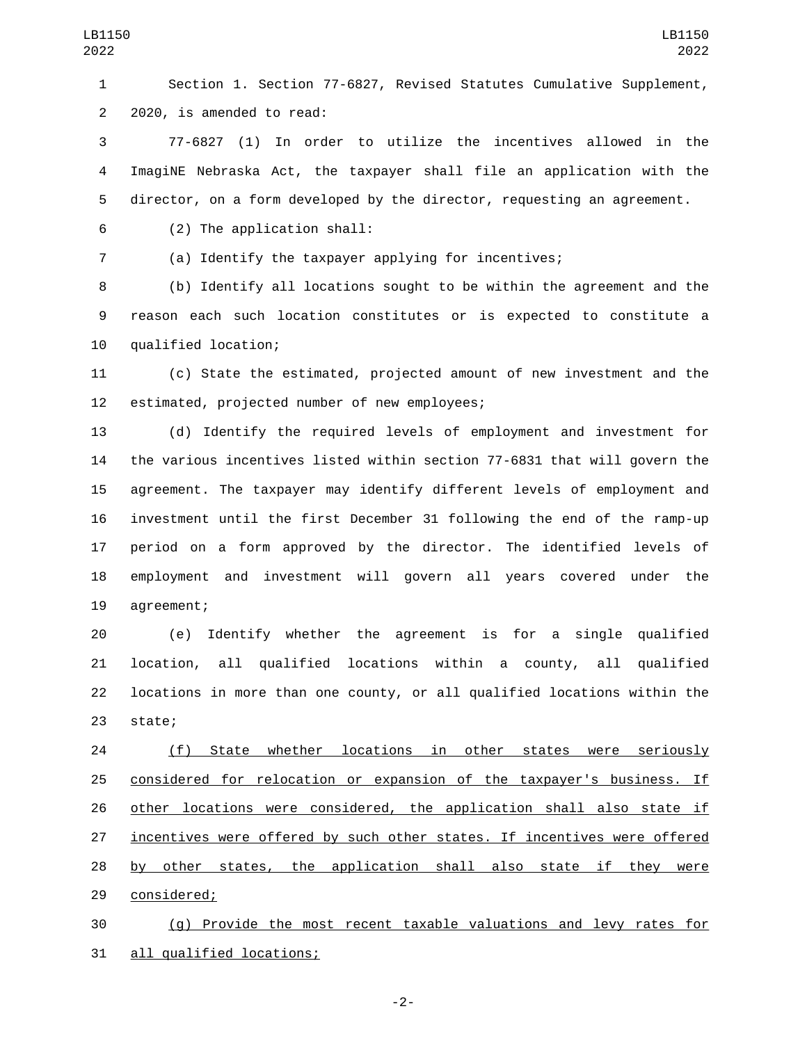Section 1. Section 77-6827, Revised Statutes Cumulative Supplement, 2 2020, is amended to read:

 77-6827 (1) In order to utilize the incentives allowed in the ImagiNE Nebraska Act, the taxpayer shall file an application with the director, on a form developed by the director, requesting an agreement.

(2) The application shall:6

(a) Identify the taxpayer applying for incentives;

 (b) Identify all locations sought to be within the agreement and the reason each such location constitutes or is expected to constitute a 10 qualified location;

 (c) State the estimated, projected amount of new investment and the 12 estimated, projected number of new employees;

 (d) Identify the required levels of employment and investment for the various incentives listed within section 77-6831 that will govern the agreement. The taxpayer may identify different levels of employment and investment until the first December 31 following the end of the ramp-up period on a form approved by the director. The identified levels of employment and investment will govern all years covered under the 19 agreement;

 (e) Identify whether the agreement is for a single qualified location, all qualified locations within a county, all qualified locations in more than one county, or all qualified locations within the 23 state;

 (f) State whether locations in other states were seriously considered for relocation or expansion of the taxpayer's business. If other locations were considered, the application shall also state if incentives were offered by such other states. If incentives were offered by other states, the application shall also state if they were 29 considered;

 (g) Provide the most recent taxable valuations and levy rates for 31 all qualified locations;

-2-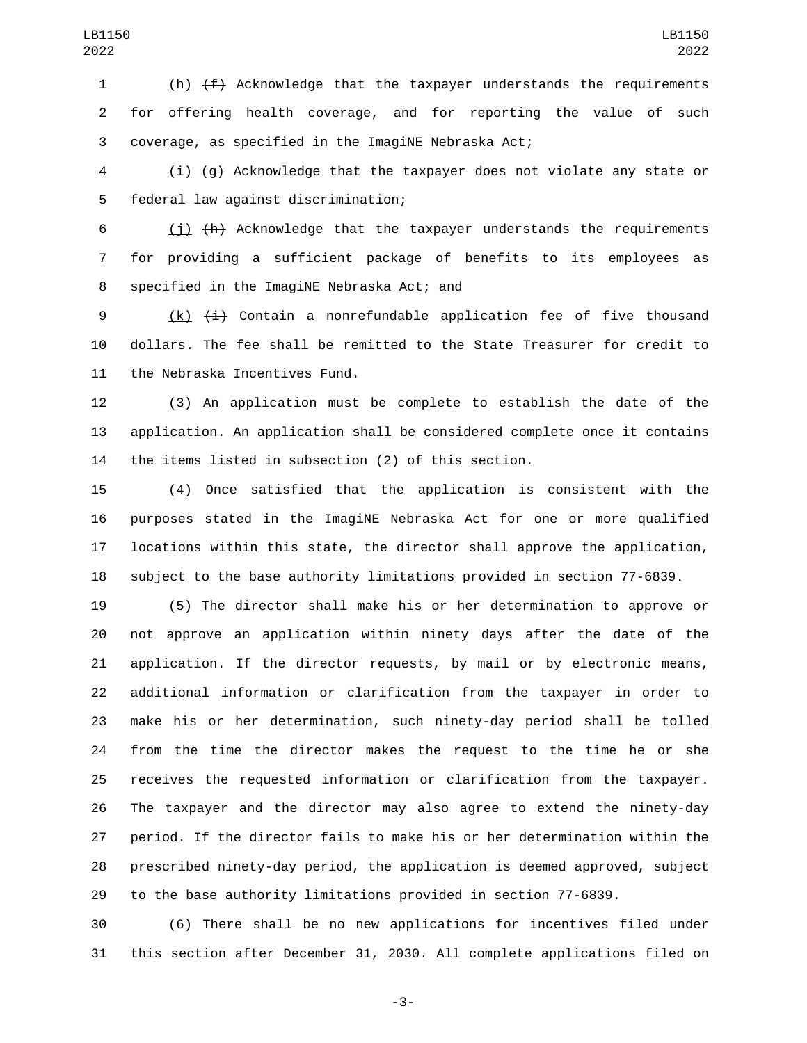(h) (f) Acknowledge that the taxpayer understands the requirements for offering health coverage, and for reporting the value of such coverage, as specified in the ImagiNE Nebraska Act;

 (i) (g) Acknowledge that the taxpayer does not violate any state or federal law against discrimination;5

 (j) (h) Acknowledge that the taxpayer understands the requirements for providing a sufficient package of benefits to its employees as 8 specified in the ImagiNE Nebraska Act; and

9 (k)  $\leftarrow{4}$  Contain a nonrefundable application fee of five thousand dollars. The fee shall be remitted to the State Treasurer for credit to 11 the Nebraska Incentives Fund.

 (3) An application must be complete to establish the date of the application. An application shall be considered complete once it contains the items listed in subsection (2) of this section.

 (4) Once satisfied that the application is consistent with the purposes stated in the ImagiNE Nebraska Act for one or more qualified locations within this state, the director shall approve the application, subject to the base authority limitations provided in section 77-6839.

 (5) The director shall make his or her determination to approve or not approve an application within ninety days after the date of the application. If the director requests, by mail or by electronic means, additional information or clarification from the taxpayer in order to make his or her determination, such ninety-day period shall be tolled from the time the director makes the request to the time he or she receives the requested information or clarification from the taxpayer. The taxpayer and the director may also agree to extend the ninety-day period. If the director fails to make his or her determination within the prescribed ninety-day period, the application is deemed approved, subject to the base authority limitations provided in section 77-6839.

 (6) There shall be no new applications for incentives filed under this section after December 31, 2030. All complete applications filed on

-3-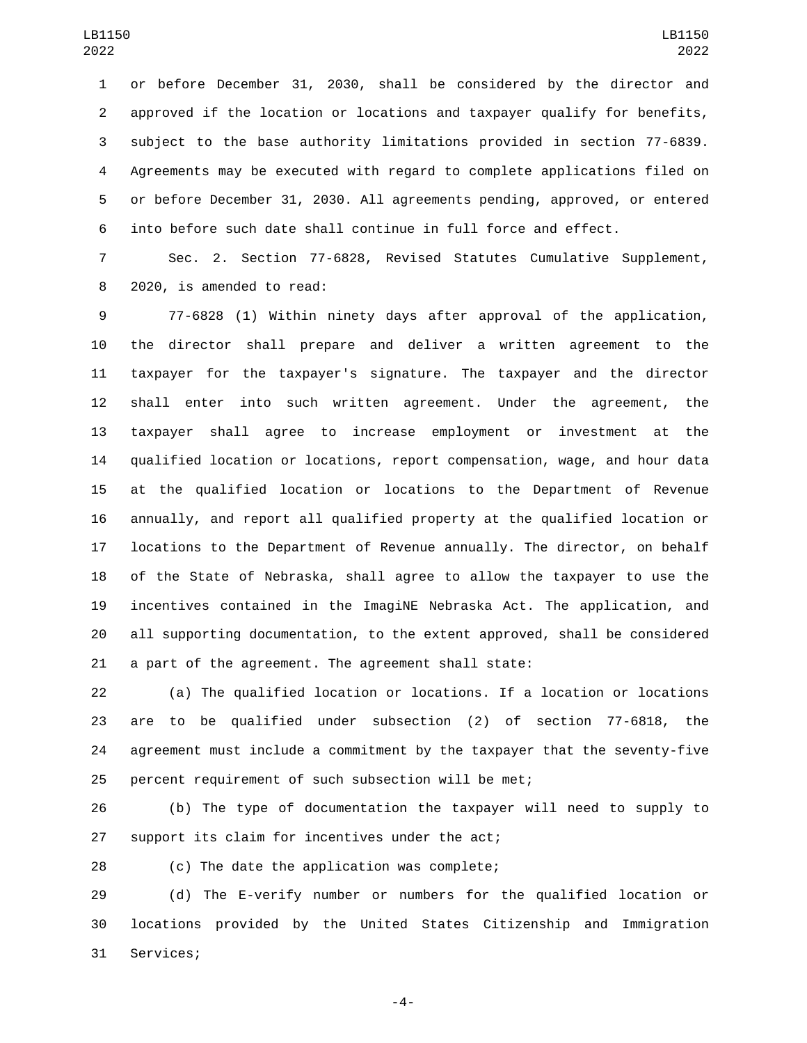or before December 31, 2030, shall be considered by the director and approved if the location or locations and taxpayer qualify for benefits, subject to the base authority limitations provided in section 77-6839. Agreements may be executed with regard to complete applications filed on or before December 31, 2030. All agreements pending, approved, or entered into before such date shall continue in full force and effect.

 Sec. 2. Section 77-6828, Revised Statutes Cumulative Supplement, 8 2020, is amended to read:

 77-6828 (1) Within ninety days after approval of the application, the director shall prepare and deliver a written agreement to the taxpayer for the taxpayer's signature. The taxpayer and the director shall enter into such written agreement. Under the agreement, the taxpayer shall agree to increase employment or investment at the qualified location or locations, report compensation, wage, and hour data at the qualified location or locations to the Department of Revenue annually, and report all qualified property at the qualified location or locations to the Department of Revenue annually. The director, on behalf of the State of Nebraska, shall agree to allow the taxpayer to use the incentives contained in the ImagiNE Nebraska Act. The application, and all supporting documentation, to the extent approved, shall be considered a part of the agreement. The agreement shall state:

 (a) The qualified location or locations. If a location or locations are to be qualified under subsection (2) of section 77-6818, the agreement must include a commitment by the taxpayer that the seventy-five percent requirement of such subsection will be met;

 (b) The type of documentation the taxpayer will need to supply to 27 support its claim for incentives under the act;

28 (c) The date the application was complete;

 (d) The E-verify number or numbers for the qualified location or locations provided by the United States Citizenship and Immigration 31 Services;

-4-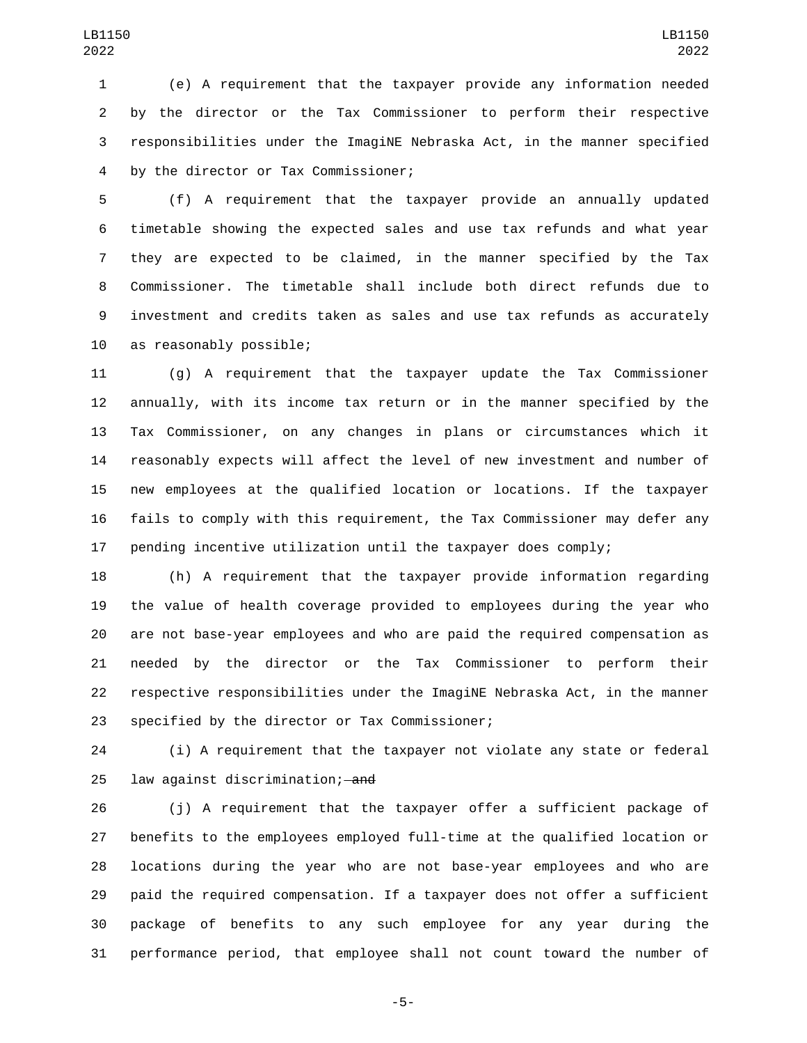(e) A requirement that the taxpayer provide any information needed by the director or the Tax Commissioner to perform their respective responsibilities under the ImagiNE Nebraska Act, in the manner specified by the director or Tax Commissioner;4

 (f) A requirement that the taxpayer provide an annually updated timetable showing the expected sales and use tax refunds and what year they are expected to be claimed, in the manner specified by the Tax Commissioner. The timetable shall include both direct refunds due to investment and credits taken as sales and use tax refunds as accurately 10 as reasonably possible;

 (g) A requirement that the taxpayer update the Tax Commissioner annually, with its income tax return or in the manner specified by the Tax Commissioner, on any changes in plans or circumstances which it reasonably expects will affect the level of new investment and number of new employees at the qualified location or locations. If the taxpayer fails to comply with this requirement, the Tax Commissioner may defer any pending incentive utilization until the taxpayer does comply;

 (h) A requirement that the taxpayer provide information regarding the value of health coverage provided to employees during the year who are not base-year employees and who are paid the required compensation as needed by the director or the Tax Commissioner to perform their respective responsibilities under the ImagiNE Nebraska Act, in the manner 23 specified by the director or Tax Commissioner;

 (i) A requirement that the taxpayer not violate any state or federal 25 law against discrimination; and

 (j) A requirement that the taxpayer offer a sufficient package of benefits to the employees employed full-time at the qualified location or locations during the year who are not base-year employees and who are paid the required compensation. If a taxpayer does not offer a sufficient package of benefits to any such employee for any year during the performance period, that employee shall not count toward the number of

-5-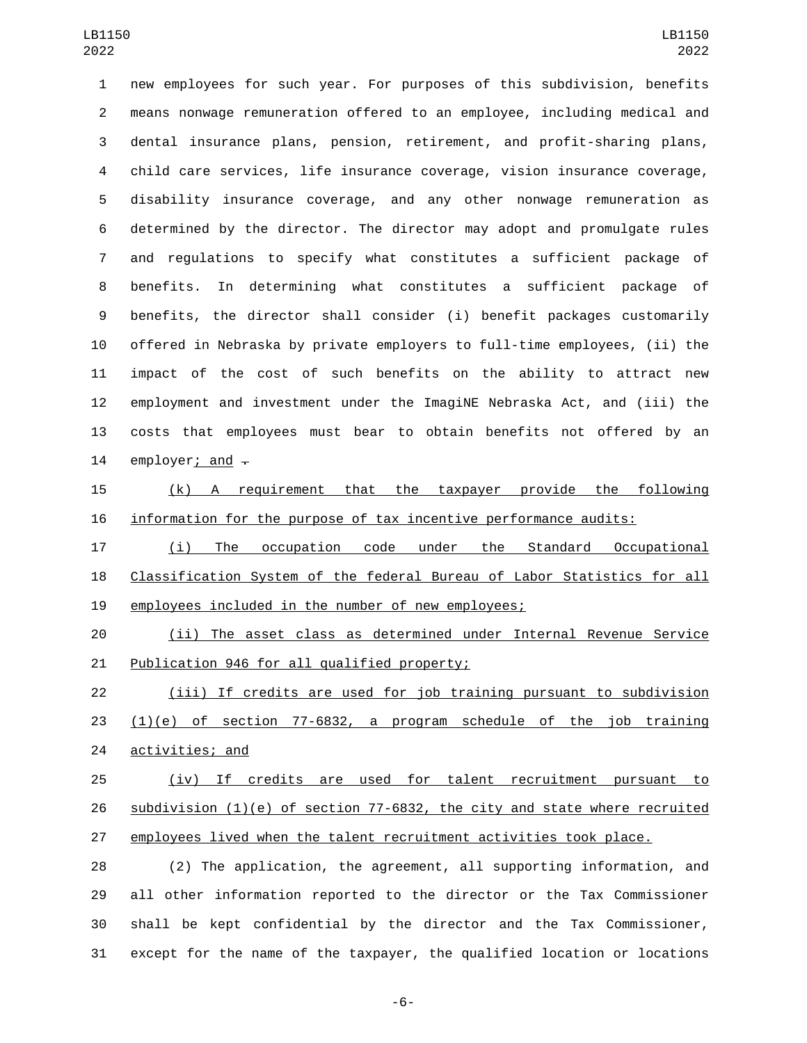new employees for such year. For purposes of this subdivision, benefits means nonwage remuneration offered to an employee, including medical and dental insurance plans, pension, retirement, and profit-sharing plans, child care services, life insurance coverage, vision insurance coverage, disability insurance coverage, and any other nonwage remuneration as determined by the director. The director may adopt and promulgate rules and regulations to specify what constitutes a sufficient package of benefits. In determining what constitutes a sufficient package of benefits, the director shall consider (i) benefit packages customarily offered in Nebraska by private employers to full-time employees, (ii) the impact of the cost of such benefits on the ability to attract new employment and investment under the ImagiNE Nebraska Act, and (iii) the costs that employees must bear to obtain benefits not offered by an 14 employer; and  $\overline{-}$ 

 (k) A requirement that the taxpayer provide the following information for the purpose of tax incentive performance audits:

 (i) The occupation code under the Standard Occupational Classification System of the federal Bureau of Labor Statistics for all employees included in the number of new employees;

 (ii) The asset class as determined under Internal Revenue Service 21 Publication 946 for all qualified property;

 (iii) If credits are used for job training pursuant to subdivision (1)(e) of section 77-6832, a program schedule of the job training 24 activities; and

 (iv) If credits are used for talent recruitment pursuant to subdivision (1)(e) of section 77-6832, the city and state where recruited employees lived when the talent recruitment activities took place.

 (2) The application, the agreement, all supporting information, and all other information reported to the director or the Tax Commissioner shall be kept confidential by the director and the Tax Commissioner, except for the name of the taxpayer, the qualified location or locations

-6-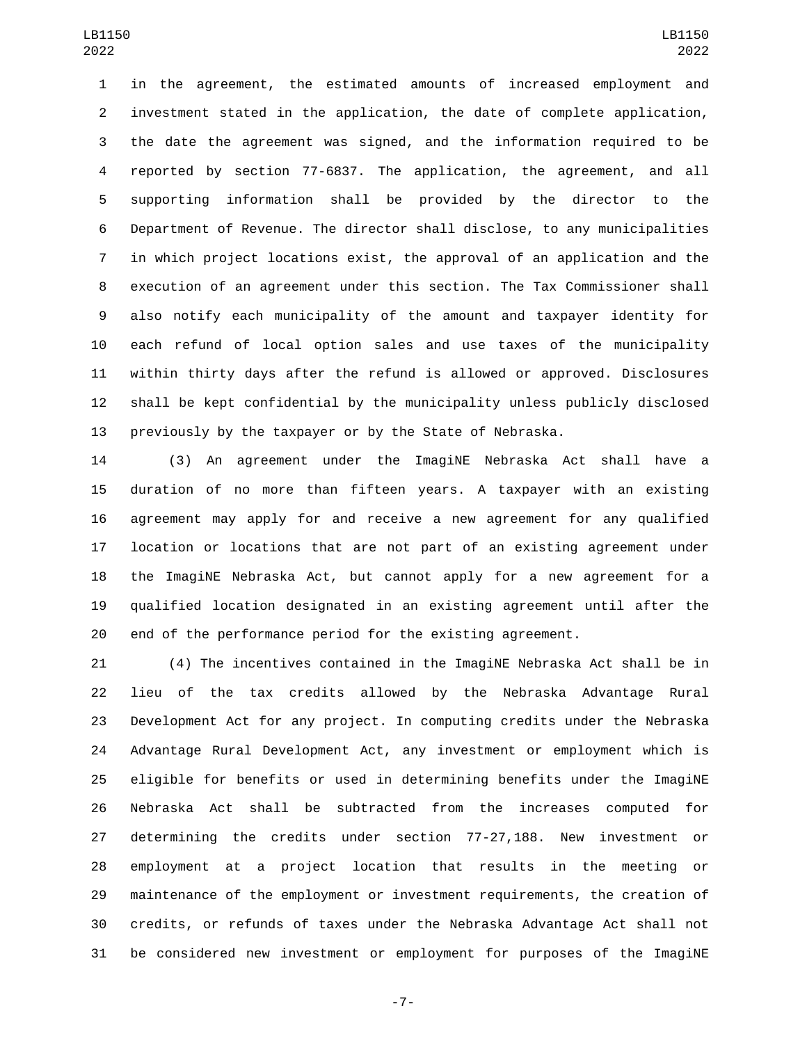in the agreement, the estimated amounts of increased employment and investment stated in the application, the date of complete application, the date the agreement was signed, and the information required to be reported by section 77-6837. The application, the agreement, and all supporting information shall be provided by the director to the Department of Revenue. The director shall disclose, to any municipalities in which project locations exist, the approval of an application and the execution of an agreement under this section. The Tax Commissioner shall also notify each municipality of the amount and taxpayer identity for each refund of local option sales and use taxes of the municipality within thirty days after the refund is allowed or approved. Disclosures shall be kept confidential by the municipality unless publicly disclosed previously by the taxpayer or by the State of Nebraska.

 (3) An agreement under the ImagiNE Nebraska Act shall have a duration of no more than fifteen years. A taxpayer with an existing agreement may apply for and receive a new agreement for any qualified location or locations that are not part of an existing agreement under the ImagiNE Nebraska Act, but cannot apply for a new agreement for a qualified location designated in an existing agreement until after the end of the performance period for the existing agreement.

 (4) The incentives contained in the ImagiNE Nebraska Act shall be in lieu of the tax credits allowed by the Nebraska Advantage Rural Development Act for any project. In computing credits under the Nebraska Advantage Rural Development Act, any investment or employment which is eligible for benefits or used in determining benefits under the ImagiNE Nebraska Act shall be subtracted from the increases computed for determining the credits under section 77-27,188. New investment or employment at a project location that results in the meeting or maintenance of the employment or investment requirements, the creation of credits, or refunds of taxes under the Nebraska Advantage Act shall not be considered new investment or employment for purposes of the ImagiNE

-7-